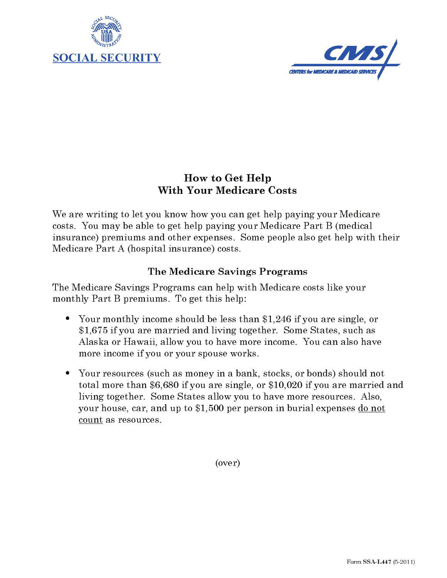



## **How to Get Help With Your Medicare Costs**

We are writing to let you know how you can get help paying your Medicare costs. You may be able to get help paying your Medicare Part B (medical insurance) premiums and other expenses. Some people also get help with their Medicare Part A (hospital insurance) costs.

## The Medicare Savings Programs

The Medicare Savings Programs can help with Medicare costs like your monthly Part B premiums. To get this help:

- Your monthly income should be less than \$1,246 if you are single, or \$1,675 if you are married and living together. Some States, such as Alaska or Hawaii, allow you to have more income. You can also have more income if you or your spouse works.
- Your resources (such as money in a bank, stocks, or bonds) should not total more than \$6,680 if you are single, or \$10,020 if you are married and living together. Some States allow you to have more resources. Also, your house, car, and up to \$1,500 per person in burial expenses do not count as resources.

 $(over)$